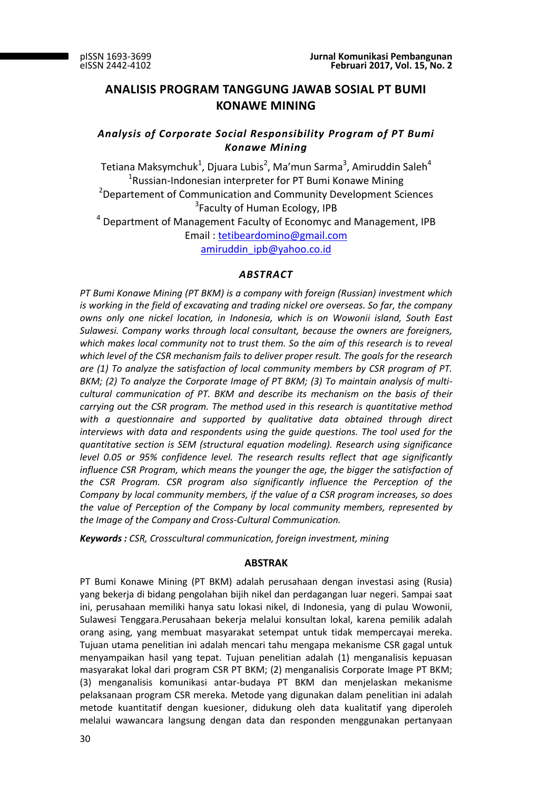# **ANALISIS PROGRAM TANGGUNG JAWAB SOSIAL PT BUMI KONAWE MINING**

# *Analysis of Corporate Social Responsibility Program of PT Bumi Konawe Mining*

Tetiana Maksymchuk<sup>1</sup>, Djuara Lubis<sup>2</sup>, Ma'mun Sarma<sup>3</sup>, Amiruddin Saleh<sup>4</sup> <sup>1</sup>Russian-Indonesian interpreter for PT Bumi Konawe Mining <sup>2</sup>Departement of Communication and Community Development Sciences <sup>3</sup>Faculty of Human Ecology, IPB  $4$  Department of Management Faculty of Economyc and Management, IPB

> Email : [tetibeardomino@gmail.com](mailto:tetibeardomino@gmail.com) [amiruddin\\_ipb@yahoo.co.id](mailto:amiruddin_ipb@yahoo.co.id)

# *ABSTRACT*

*PT Bumi Konawe Mining (PT BKM) is a company with foreign (Russian) investment which is working in the field of excavating and trading nickel ore overseas. So far, the company owns only one nickel location, in Indonesia, which is on Wowonii island, South East Sulawesi. Company works through local consultant, because the owners are foreigners,*  which makes local community not to trust them. So the aim of this research is to reveal *which level of the CSR mechanism fails to deliver proper result. The goals for the research are (1) To analyze the satisfaction of local community members by CSR program of PT. BKM; (2) To analyze the Corporate Image of PT BKM; (3) To maintain analysis of multicultural communication of PT. BKM and describe its mechanism on the basis of their carrying out the CSR program. The method used in this research is quantitative method with a questionnaire and supported by qualitative data obtained through direct interviews with data and respondents using the guide questions. The tool used for the quantitative section is SEM (structural equation modeling). Research using significance level 0.05 or 95% confidence level. The research results reflect that age significantly influence CSR Program, which means the younger the age, the bigger the satisfaction of the CSR Program. CSR program also significantly influence the Perception of the Company by local community members, if the value of a CSR program increases, so does the value of Perception of the Company by local community members, represented by the Image of the Company and Cross-Cultural Communication.*

*Keywords : CSR, Crosscultural communication, foreign investment, mining*

# **ABSTRAK**

PT Bumi Konawe Mining (PT BKM) adalah perusahaan dengan investasi asing (Rusia) yang bekerja di bidang pengolahan bijih nikel dan perdagangan luar negeri. Sampai saat ini, perusahaan memiliki hanya satu lokasi nikel, di Indonesia, yang di pulau Wowonii, Sulawesi Tenggara.Perusahaan bekerja melalui konsultan lokal, karena pemilik adalah orang asing, yang membuat masyarakat setempat untuk tidak mempercayai mereka. Tujuan utama penelitian ini adalah mencari tahu mengapa mekanisme CSR gagal untuk menyampaikan hasil yang tepat. Tujuan penelitian adalah (1) menganalisis kepuasan masyarakat lokal dari program CSR PT BKM; (2) menganalisis Corporate Image PT BKM; (3) menganalisis komunikasi antar-budaya PT BKM dan menjelaskan mekanisme pelaksanaan program CSR mereka. Metode yang digunakan dalam penelitian ini adalah metode kuantitatif dengan kuesioner, didukung oleh data kualitatif yang diperoleh melalui wawancara langsung dengan data dan responden menggunakan pertanyaan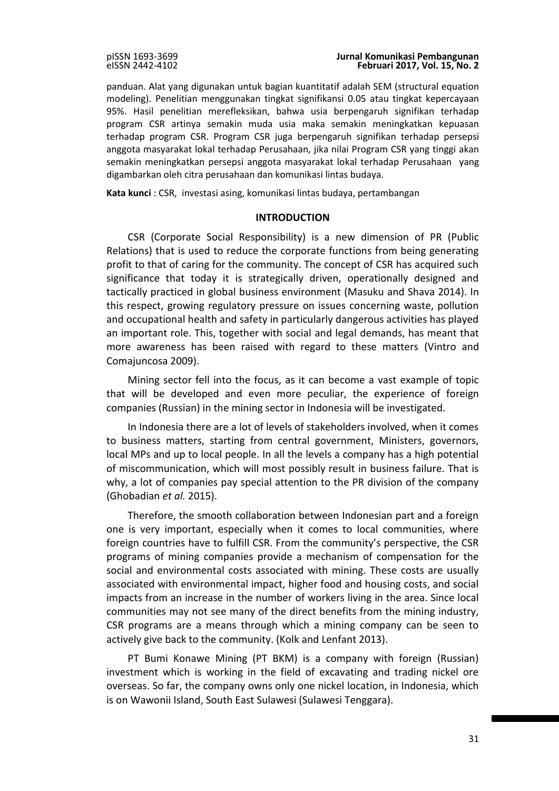panduan. Alat yang digunakan untuk bagian kuantitatif adalah SEM (structural equation modeling). Penelitian menggunakan tingkat signifikansi 0.05 atau tingkat kepercayaan 95%. Hasil penelitian merefleksikan, bahwa usia berpengaruh signifikan terhadap program CSR artinya semakin muda usia maka semakin meningkatkan kepuasan terhadap program CSR. Program CSR juga berpengaruh signifikan terhadap persepsi anggota masyarakat lokal terhadap Perusahaan, jika nilai Program CSR yang tinggi akan semakin meningkatkan persepsi anggota masyarakat lokal terhadap Perusahaan yang digambarkan oleh citra perusahaan dan komunikasi lintas budaya.

**Kata kunci** : CSR, investasi asing, komunikasi lintas budaya, pertambangan

### **INTRODUCTION**

CSR (Corporate Social Responsibility) is a new dimension of PR (Public Relations) that is used to reduce the corporate functions from being generating profit to that of caring for the community. The concept of CSR has acquired such significance that today it is strategically driven, operationally designed and tactically practiced in global business environment (Masuku and Shava 2014). In this respect, growing regulatory pressure on issues concerning waste, pollution and occupational health and safety in particularly dangerous activities has played an important role. This, together with social and legal demands, has meant that more awareness has been raised with regard to these matters (Vintro and Comajuncosa 2009).

Mining sector fell into the focus, as it can become a vast example of topic that will be developed and even more peculiar, the experience of foreign companies (Russian) in the mining sector in Indonesia will be investigated.

In Indonesia there are a lot of levels of stakeholders involved, when it comes to business matters, starting from central government, Ministers, governors, local MPs and up to local people. In all the levels a company has a high potential of miscommunication, which will most possibly result in business failure. That is why, a lot of companies pay special attention to the PR division of the company (Ghobadian *et al.* 2015).

Therefore, the smooth collaboration between Indonesian part and a foreign one is very important, especially when it comes to local communities, where foreign countries have to fulfill CSR. From the community's perspective, the CSR programs of mining companies provide a mechanism of compensation for the social and environmental costs associated with mining. These costs are usually associated with environmental impact, higher food and housing costs, and social impacts from an increase in the number of workers living in the area. Since local communities may not see many of the direct benefits from the mining industry, CSR programs are a means through which a mining company can be seen to actively give back to the community. (Kolk and Lenfant 2013).

PT Bumi Konawe Mining (PT BKM) is a company with foreign (Russian) investment which is working in the field of excavating and trading nickel ore overseas. So far, the company owns only one nickel location, in Indonesia, which is on Wawonii Island, South East Sulawesi (Sulawesi Tenggara).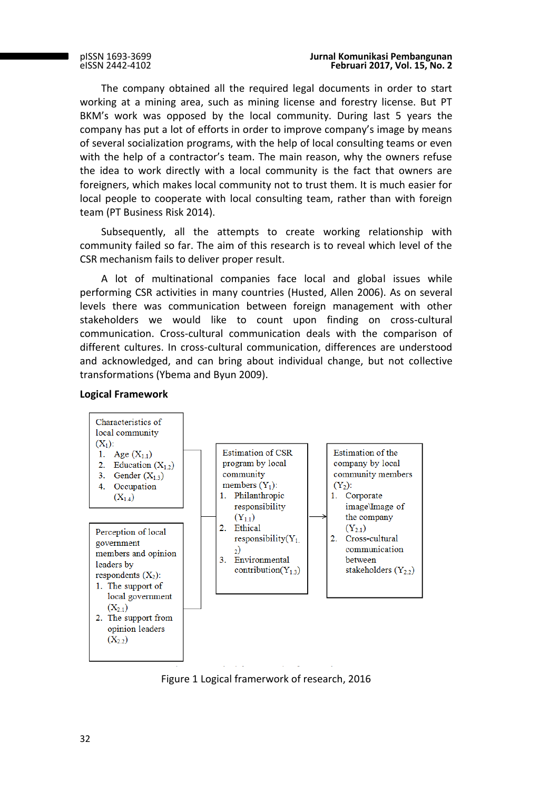The company obtained all the required legal documents in order to start working at a mining area, such as mining license and forestry license. But PT BKM's work was opposed by the local community. During last 5 years the company has put a lot of efforts in order to improve company's image by means of several socialization programs, with the help of local consulting teams or even with the help of a contractor's team. The main reason, why the owners refuse the idea to work directly with a local community is the fact that owners are foreigners, which makes local community not to trust them. It is much easier for local people to cooperate with local consulting team, rather than with foreign team (PT Business Risk 2014).

Subsequently, all the attempts to create working relationship with community failed so far. The aim of this research is to reveal which level of the CSR mechanism fails to deliver proper result.

A lot of multinational companies face local and global issues while performing CSR activities in many countries (Husted, Allen 2006). As on several levels there was communication between foreign management with other stakeholders we would like to count upon finding on cross-cultural communication. Cross-cultural communication deals with the comparison of different cultures. In cross-cultural communication, differences are understood and acknowledged, and can bring about individual change, but not collective transformations (Ybema and Byun 2009).



# **Logical Framework**

Figure 1 Logical framerwork of research, 2016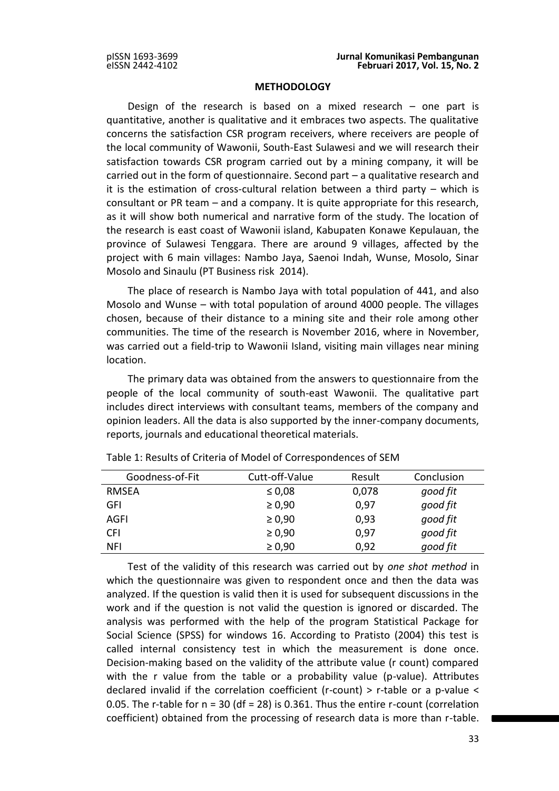### **METHODOLOGY**

Design of the research is based on a mixed research – one part is quantitative, another is qualitative and it embraces two aspects. The qualitative concerns the satisfaction CSR program receivers, where receivers are people of the local community of Wawonii, South-East Sulawesi and we will research their satisfaction towards CSR program carried out by a mining company, it will be carried out in the form of questionnaire. Second part – a qualitative research and it is the estimation of cross-cultural relation between a third party – which is consultant or PR team – and a company. It is quite appropriate for this research, as it will show both numerical and narrative form of the study. The location of the research is east coast of Wawonii island, Kabupaten Konawe Kepulauan, the province of Sulawesi Tenggara. There are around 9 villages, affected by the project with 6 main villages: Nambo Jaya, Saenoi Indah, Wunse, Mosolo, Sinar Mosolo and Sinaulu (PT Business risk 2014).

The place of research is Nambo Jaya with total population of 441, and also Mosolo and Wunse – with total population of around 4000 people. The villages chosen, because of their distance to a mining site and their role among other communities. The time of the research is November 2016, where in November, was carried out a field-trip to Wawonii Island, visiting main villages near mining location.

The primary data was obtained from the answers to questionnaire from the people of the local community of south-east Wawonii. The qualitative part includes direct interviews with consultant teams, members of the company and opinion leaders. All the data is also supported by the inner-company documents, reports, journals and educational theoretical materials.

| Goodness-of-Fit | Cutt-off-Value | Result | Conclusion |
|-----------------|----------------|--------|------------|
| RMSEA           | $\leq 0.08$    | 0,078  | good fit   |
| GFI             | $\geq 0.90$    | 0,97   | good fit   |
| AGFI            | $\geq 0.90$    | 0,93   | good fit   |
| <b>CFI</b>      | $\geq 0,90$    | 0,97   | good fit   |
| NFI             | $\geq 0,90$    | 0,92   | good fit   |

Table 1: Results of Criteria of Model of Correspondences of SEM

Test of the validity of this research was carried out by *one shot method* in which the questionnaire was given to respondent once and then the data was analyzed. If the question is valid then it is used for subsequent discussions in the work and if the question is not valid the question is ignored or discarded. The analysis was performed with the help of the program Statistical Package for Social Science (SPSS) for windows 16. According to Pratisto (2004) this test is called internal consistency test in which the measurement is done once. Decision-making based on the validity of the attribute value (r count) compared with the r value from the table or a probability value (p-value). Attributes declared invalid if the correlation coefficient (r-count) > r-table or a p-value < 0.05. The r-table for  $n = 30$  (df = 28) is 0.361. Thus the entire r-count (correlation coefficient) obtained from the processing of research data is more than r-table.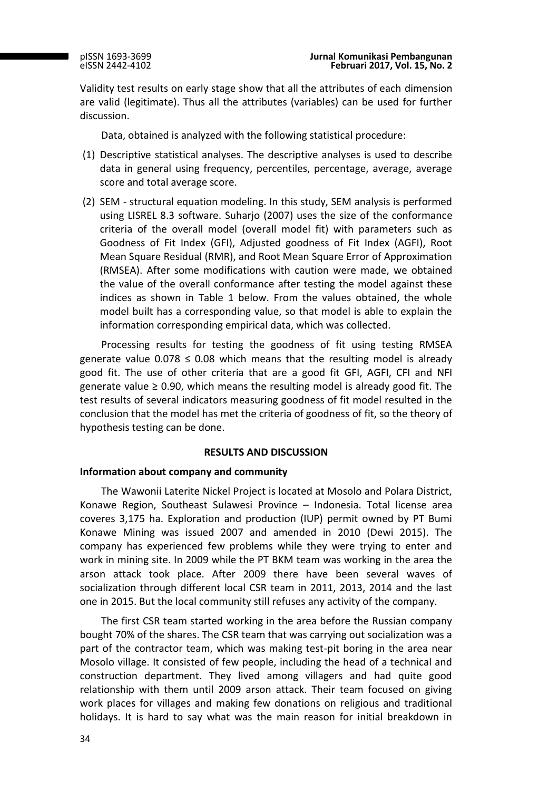Validity test results on early stage show that all the attributes of each dimension are valid (legitimate). Thus all the attributes (variables) can be used for further discussion.

Data, obtained is analyzed with the following statistical procedure:

- (1) Descriptive statistical analyses. The descriptive analyses is used to describe data in general using frequency, percentiles, percentage, average, average score and total average score.
- (2) SEM structural equation modeling. In this study, SEM analysis is performed using LISREL 8.3 software. Suharjo (2007) uses the size of the conformance criteria of the overall model (overall model fit) with parameters such as Goodness of Fit Index (GFI), Adjusted goodness of Fit Index (AGFI), Root Mean Square Residual (RMR), and Root Mean Square Error of Approximation (RMSEA). After some modifications with caution were made, we obtained the value of the overall conformance after testing the model against these indices as shown in Table 1 below. From the values obtained, the whole model built has a corresponding value, so that model is able to explain the information corresponding empirical data, which was collected.

Processing results for testing the goodness of fit using testing RMSEA generate value  $0.078 \le 0.08$  which means that the resulting model is already good fit. The use of other criteria that are a good fit GFI, AGFI, CFI and NFI generate value  $\geq$  0.90, which means the resulting model is already good fit. The test results of several indicators measuring goodness of fit model resulted in the conclusion that the model has met the criteria of goodness of fit, so the theory of hypothesis testing can be done.

### **RESULTS AND DISCUSSION**

### **Information about company and community**

The Wawonii Laterite Nickel Project is located at Mosolo and Polara District, Konawe Region, Southeast Sulawesi Province – Indonesia. Total license area coveres 3,175 ha. Exploration and production (IUP) permit owned by PT Bumi Konawe Mining was issued 2007 and amended in 2010 (Dewi 2015). The company has experienced few problems while they were trying to enter and work in mining site. In 2009 while the PT BKM team was working in the area the arson attack took place. After 2009 there have been several waves of socialization through different local CSR team in 2011, 2013, 2014 and the last one in 2015. But the local community still refuses any activity of the company.

The first CSR team started working in the area before the Russian company bought 70% of the shares. The CSR team that was carrying out socialization was a part of the contractor team, which was making test-pit boring in the area near Mosolo village. It consisted of few people, including the head of a technical and construction department. They lived among villagers and had quite good relationship with them until 2009 arson attack. Their team focused on giving work places for villages and making few donations on religious and traditional holidays. It is hard to say what was the main reason for initial breakdown in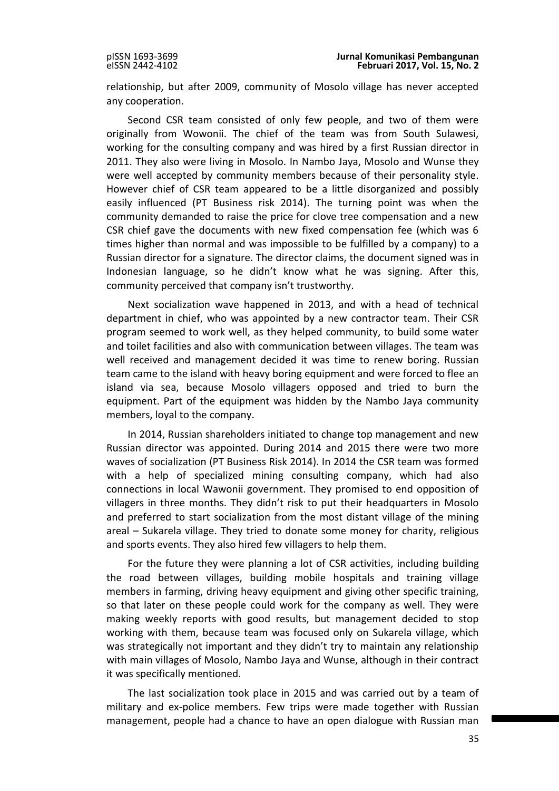relationship, but after 2009, community of Mosolo village has never accepted any cooperation.

Second CSR team consisted of only few people, and two of them were originally from Wowonii. The chief of the team was from South Sulawesi, working for the consulting company and was hired by a first Russian director in 2011. They also were living in Mosolo. In Nambo Jaya, Mosolo and Wunse they were well accepted by community members because of their personality style. However chief of CSR team appeared to be a little disorganized and possibly easily influenced (PT Business risk 2014). The turning point was when the community demanded to raise the price for clove tree compensation and a new CSR chief gave the documents with new fixed compensation fee (which was 6 times higher than normal and was impossible to be fulfilled by a company) to a Russian director for a signature. The director claims, the document signed was in Indonesian language, so he didn't know what he was signing. After this, community perceived that company isn't trustworthy.

Next socialization wave happened in 2013, and with a head of technical department in chief, who was appointed by a new contractor team. Their CSR program seemed to work well, as they helped community, to build some water and toilet facilities and also with communication between villages. The team was well received and management decided it was time to renew boring. Russian team came to the island with heavy boring equipment and were forced to flee an island via sea, because Mosolo villagers opposed and tried to burn the equipment. Part of the equipment was hidden by the Nambo Jaya community members, loyal to the company.

In 2014, Russian shareholders initiated to change top management and new Russian director was appointed. During 2014 and 2015 there were two more waves of socialization (PT Business Risk 2014). In 2014 the CSR team was formed with a help of specialized mining consulting company, which had also connections in local Wawonii government. They promised to end opposition of villagers in three months. They didn't risk to put their headquarters in Mosolo and preferred to start socialization from the most distant village of the mining areal – Sukarela village. They tried to donate some money for charity, religious and sports events. They also hired few villagers to help them.

For the future they were planning a lot of CSR activities, including building the road between villages, building mobile hospitals and training village members in farming, driving heavy equipment and giving other specific training, so that later on these people could work for the company as well. They were making weekly reports with good results, but management decided to stop working with them, because team was focused only on Sukarela village, which was strategically not important and they didn't try to maintain any relationship with main villages of Mosolo, Nambo Jaya and Wunse, although in their contract it was specifically mentioned.

The last socialization took place in 2015 and was carried out by a team of military and ex-police members. Few trips were made together with Russian management, people had a chance to have an open dialogue with Russian man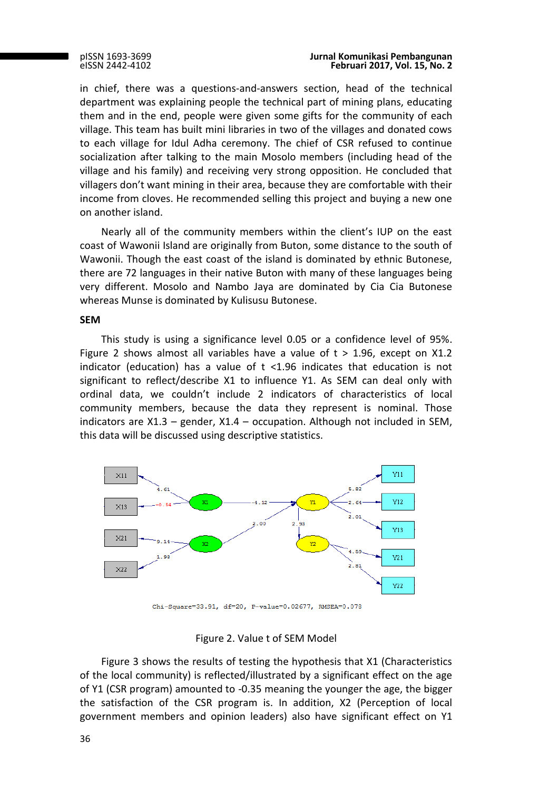#### pISSN 1693-3699 **Jurnal Komunikasi Pembangunan Februari 2017, Vol. 15, No. 2**

in chief, there was a questions-and-answers section, head of the technical department was explaining people the technical part of mining plans, educating them and in the end, people were given some gifts for the community of each village. This team has built mini libraries in two of the villages and donated cows to each village for Idul Adha ceremony. The chief of CSR refused to continue socialization after talking to the main Mosolo members (including head of the village and his family) and receiving very strong opposition. He concluded that villagers don't want mining in their area, because they are comfortable with their income from cloves. He recommended selling this project and buying a new one on another island.

Nearly all of the community members within the client's IUP on the east coast of Wawonii Island are originally from Buton, some distance to the south of Wawonii. Though the east coast of the island is dominated by ethnic Butonese, there are 72 languages in their native Buton with many of these languages being very different. Mosolo and Nambo Jaya are dominated by Cia Cia Butonese whereas Munse is dominated by Kulisusu Butonese.

### **SEM**

This study is using a significance level 0.05 or a confidence level of 95%. Figure 2 shows almost all variables have a value of t > 1.96, except on X1.2 indicator (education) has a value of  $t$  <1.96 indicates that education is not significant to reflect/describe X1 to influence Y1. As SEM can deal only with ordinal data, we couldn't include 2 indicators of characteristics of local community members, because the data they represent is nominal. Those indicators are  $X1.3$  – gender,  $X1.4$  – occupation. Although not included in SEM, this data will be discussed using descriptive statistics.



Chi-Square=33.91, df=20, P-value=0.02677, RMSEA=0.078

# Figure 2. Value t of SEM Model

Figure 3 shows the results of testing the hypothesis that X1 (Characteristics of the local community) is reflected/illustrated by a significant effect on the age of Y1 (CSR program) amounted to -0.35 meaning the younger the age, the bigger the satisfaction of the CSR program is. In addition, X2 (Perception of local government members and opinion leaders) also have significant effect on Y1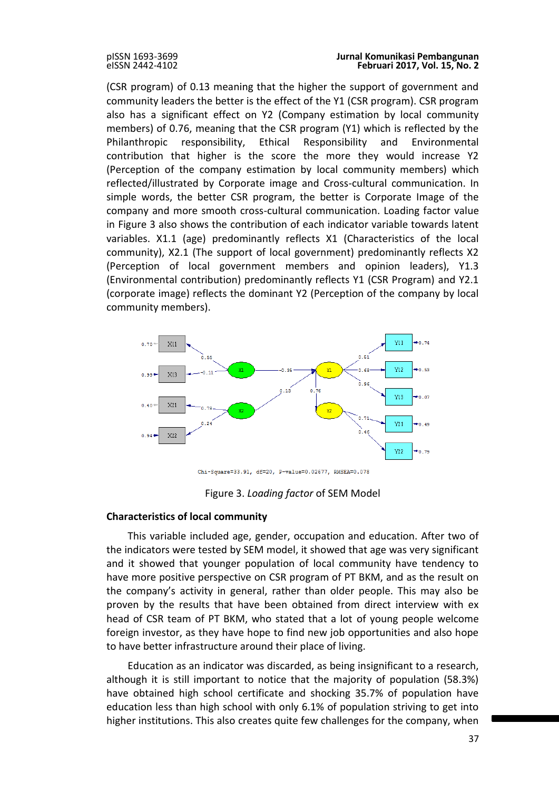(CSR program) of 0.13 meaning that the higher the support of government and community leaders the better is the effect of the Y1 (CSR program). CSR program also has a significant effect on Y2 (Company estimation by local community members) of 0.76, meaning that the CSR program (Y1) which is reflected by the Philanthropic responsibility, Ethical Responsibility and Environmental contribution that higher is the score the more they would increase Y2 (Perception of the company estimation by local community members) which reflected/illustrated by Corporate image and Cross-cultural communication. In simple words, the better CSR program, the better is Corporate Image of the company and more smooth cross-cultural communication. Loading factor value in Figure 3 also shows the contribution of each indicator variable towards latent variables. X1.1 (age) predominantly reflects X1 (Characteristics of the local community), X2.1 (The support of local government) predominantly reflects X2 (Perception of local government members and opinion leaders), Y1.3 (Environmental contribution) predominantly reflects Y1 (CSR Program) and Y2.1 (corporate image) reflects the dominant Y2 (Perception of the company by local community members).



Chi-Square=33.91, df=20, P-value=0.02677, RMSEA=0.078

Figure 3. *Loading factor* of SEM Model

# **Characteristics of local community**

This variable included age, gender, occupation and education. After two of the indicators were tested by SEM model, it showed that age was very significant and it showed that younger population of local community have tendency to have more positive perspective on CSR program of PT BKM, and as the result on the company's activity in general, rather than older people. This may also be proven by the results that have been obtained from direct interview with ex head of CSR team of PT BKM, who stated that a lot of young people welcome foreign investor, as they have hope to find new job opportunities and also hope to have better infrastructure around their place of living.

Education as an indicator was discarded, as being insignificant to a research, although it is still important to notice that the majority of population (58.3%) have obtained high school certificate and shocking 35.7% of population have education less than high school with only 6.1% of population striving to get into higher institutions. This also creates quite few challenges for the company, when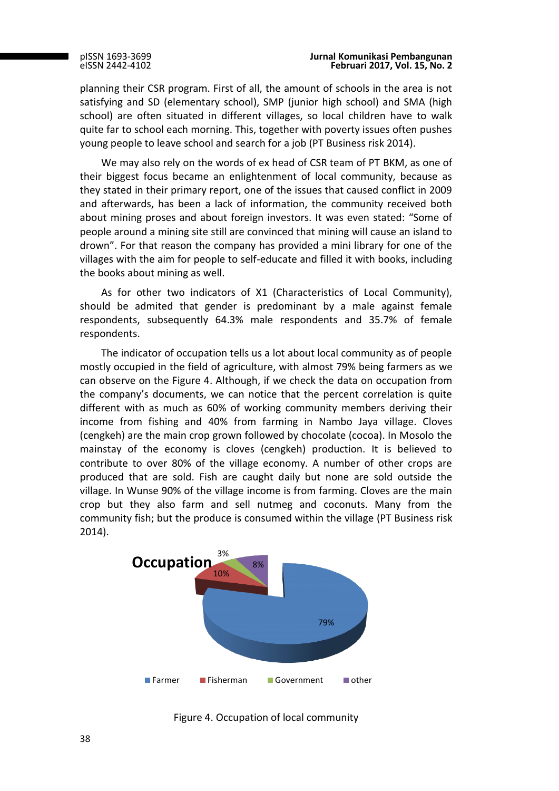planning their CSR program. First of all, the amount of schools in the area is not satisfying and SD (elementary school), SMP (junior high school) and SMA (high school) are often situated in different villages, so local children have to walk quite far to school each morning. This, together with poverty issues often pushes young people to leave school and search for a job (PT Business risk 2014).

We may also rely on the words of ex head of CSR team of PT BKM, as one of their biggest focus became an enlightenment of local community, because as they stated in their primary report, one of the issues that caused conflict in 2009 and afterwards, has been a lack of information, the community received both about mining proses and about foreign investors. It was even stated: "Some of people around a mining site still are convinced that mining will cause an island to drown". For that reason the company has provided a mini library for one of the villages with the aim for people to self-educate and filled it with books, including the books about mining as well.

As for other two indicators of X1 (Characteristics of Local Community), should be admited that gender is predominant by a male against female respondents, subsequently 64.3% male respondents and 35.7% of female respondents.

The indicator of occupation tells us a lot about local community as of people mostly occupied in the field of agriculture, with almost 79% being farmers as we can observe on the Figure 4. Although, if we check the data on occupation from the company's documents, we can notice that the percent correlation is quite different with as much as 60% of working community members deriving their income from fishing and 40% from farming in Nambo Jaya village. Cloves (cengkeh) are the main crop grown followed by chocolate (cocoa). In Mosolo the mainstay of the economy is cloves (cengkeh) production. It is believed to contribute to over 80% of the village economy. A number of other crops are produced that are sold. Fish are caught daily but none are sold outside the village. In Wunse 90% of the village income is from farming. Cloves are the main crop but they also farm and sell nutmeg and coconuts. Many from the community fish; but the produce is consumed within the village (PT Business risk 2014).



Figure 4. Occupation of local community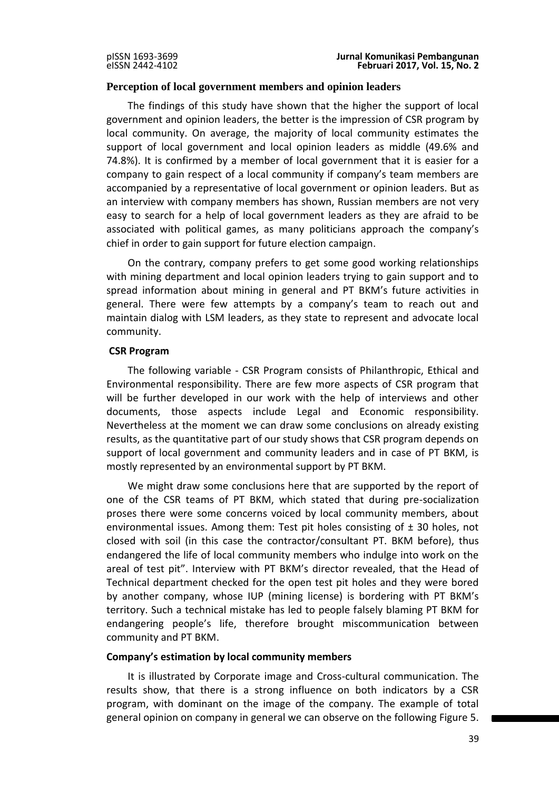# **Perception of local government members and opinion leaders**

The findings of this study have shown that the higher the support of local government and opinion leaders, the better is the impression of CSR program by local community. On average, the majority of local community estimates the support of local government and local opinion leaders as middle (49.6% and 74.8%). It is confirmed by a member of local government that it is easier for a company to gain respect of a local community if company's team members are accompanied by a representative of local government or opinion leaders. But as an interview with company members has shown, Russian members are not very easy to search for a help of local government leaders as they are afraid to be associated with political games, as many politicians approach the company's chief in order to gain support for future election campaign.

On the contrary, company prefers to get some good working relationships with mining department and local opinion leaders trying to gain support and to spread information about mining in general and PT BKM's future activities in general. There were few attempts by a company's team to reach out and maintain dialog with LSM leaders, as they state to represent and advocate local community.

### **CSR Program**

The following variable - CSR Program consists of Philanthropic, Ethical and Environmental responsibility. There are few more aspects of CSR program that will be further developed in our work with the help of interviews and other documents, those aspects include Legal and Economic responsibility. Nevertheless at the moment we can draw some conclusions on already existing results, as the quantitative part of our study shows that CSR program depends on support of local government and community leaders and in case of PT BKM, is mostly represented by an environmental support by PT BKM.

We might draw some conclusions here that are supported by the report of one of the CSR teams of PT BKM, which stated that during pre-socialization proses there were some concerns voiced by local community members, about environmental issues. Among them: Test pit holes consisting of  $\pm$  30 holes, not closed with soil (in this case the contractor/consultant PT. BKM before), thus endangered the life of local community members who indulge into work on the areal of test pit". Interview with PT BKM's director revealed, that the Head of Technical department checked for the open test pit holes and they were bored by another company, whose IUP (mining license) is bordering with PT BKM's territory. Such a technical mistake has led to people falsely blaming PT BKM for endangering people's life, therefore brought miscommunication between community and PT BKM.

### **Company's estimation by local community members**

It is illustrated by Corporate image and Cross-cultural communication. The results show, that there is a strong influence on both indicators by a CSR program, with dominant on the image of the company. The example of total general opinion on company in general we can observe on the following Figure 5.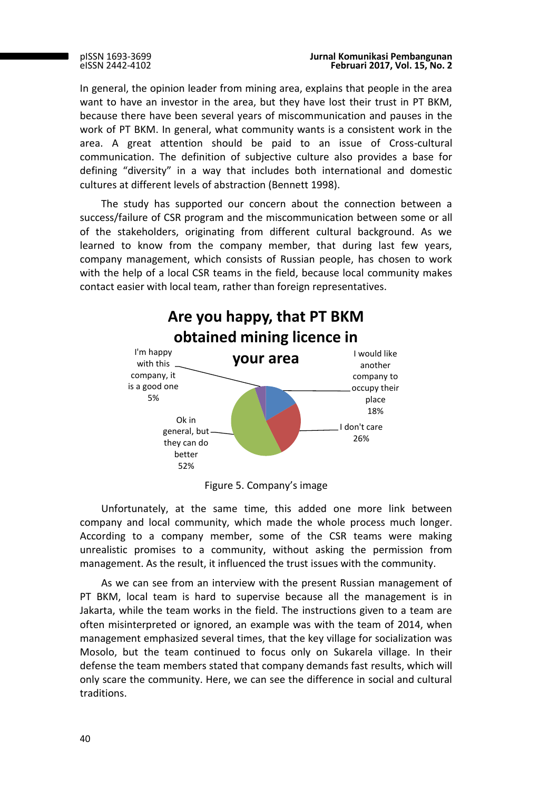In general, the opinion leader from mining area, explains that people in the area want to have an investor in the area, but they have lost their trust in PT BKM, because there have been several years of miscommunication and pauses in the work of PT BKM. In general, what community wants is a consistent work in the area. A great attention should be paid to an issue of Cross-cultural communication. The definition of subjective culture also provides a base for defining "diversity" in a way that includes both international and domestic cultures at different levels of abstraction (Bennett 1998).

The study has supported our concern about the connection between a success/failure of CSR program and the miscommunication between some or all of the stakeholders, originating from different cultural background. As we learned to know from the company member, that during last few years, company management, which consists of Russian people, has chosen to work with the help of a local CSR teams in the field, because local community makes contact easier with local team, rather than foreign representatives.



Figure 5. Company's image

Unfortunately, at the same time, this added one more link between company and local community, which made the whole process much longer. According to a company member, some of the CSR teams were making unrealistic promises to a community, without asking the permission from management. As the result, it influenced the trust issues with the community.

As we can see from an interview with the present Russian management of PT BKM, local team is hard to supervise because all the management is in Jakarta, while the team works in the field. The instructions given to a team are often misinterpreted or ignored, an example was with the team of 2014, when management emphasized several times, that the key village for socialization was Mosolo, but the team continued to focus only on Sukarela village. In their defense the team members stated that company demands fast results, which will only scare the community. Here, we can see the difference in social and cultural traditions.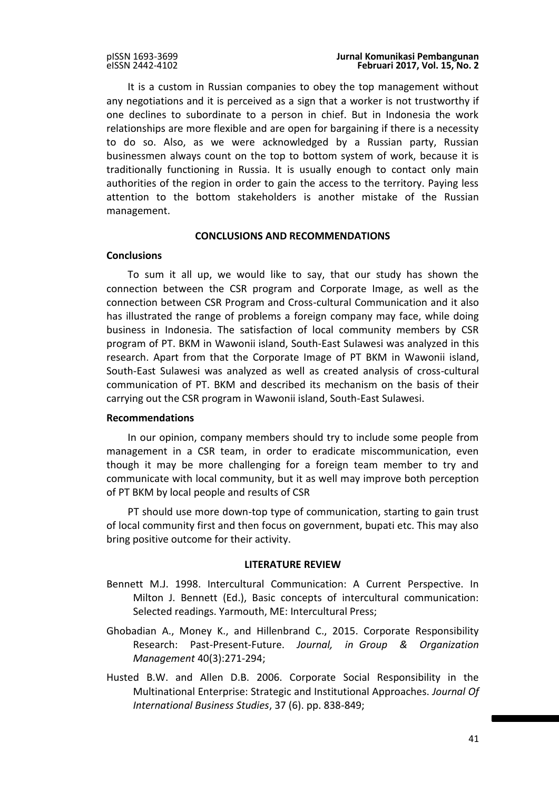It is a custom in Russian companies to obey the top management without any negotiations and it is perceived as a sign that a worker is not trustworthy if one declines to subordinate to a person in chief. But in Indonesia the work relationships are more flexible and are open for bargaining if there is a necessity to do so. Also, as we were acknowledged by a Russian party, Russian businessmen always count on the top to bottom system of work, because it is traditionally functioning in Russia. It is usually enough to contact only main authorities of the region in order to gain the access to the territory. Paying less attention to the bottom stakeholders is another mistake of the Russian management.

# **CONCLUSIONS AND RECOMMENDATIONS**

# **Conclusions**

To sum it all up, we would like to say, that our study has shown the connection between the CSR program and Corporate Image, as well as the connection between CSR Program and Cross-cultural Communication and it also has illustrated the range of problems a foreign company may face, while doing business in Indonesia. The satisfaction of local community members by CSR program of PT. BKM in Wawonii island, South-East Sulawesi was analyzed in this research. Apart from that the Corporate Image of PT BKM in Wawonii island, South-East Sulawesi was analyzed as well as created analysis of cross-cultural communication of PT. BKM and described its mechanism on the basis of their carrying out the CSR program in Wawonii island, South-East Sulawesi.

# **Recommendations**

In our opinion, company members should try to include some people from management in a CSR team, in order to eradicate miscommunication, even though it may be more challenging for a foreign team member to try and communicate with local community, but it as well may improve both perception of PT BKM by local people and results of CSR

PT should use more down-top type of communication, starting to gain trust of local community first and then focus on government, bupati etc. This may also bring positive outcome for their activity.

# **LITERATURE REVIEW**

- Bennett M.J. 1998. Intercultural Communication: A Current Perspective. In Milton J. Bennett (Ed.), Basic concepts of intercultural communication: Selected readings. Yarmouth, ME: Intercultural Press;
- Ghobadian A., Money K., and Hillenbrand C., 2015. Corporate Responsibility Research: Past-Present-Future. *Journal, in Group & Organization Management* 40(3):271-294;
- Husted B.W. and Allen D.B. 2006. Corporate Social Responsibility in the Multinational Enterprise: Strategic and Institutional Approaches. *Journal Of International Business Studies*, 37 (6). pp. 838-849;